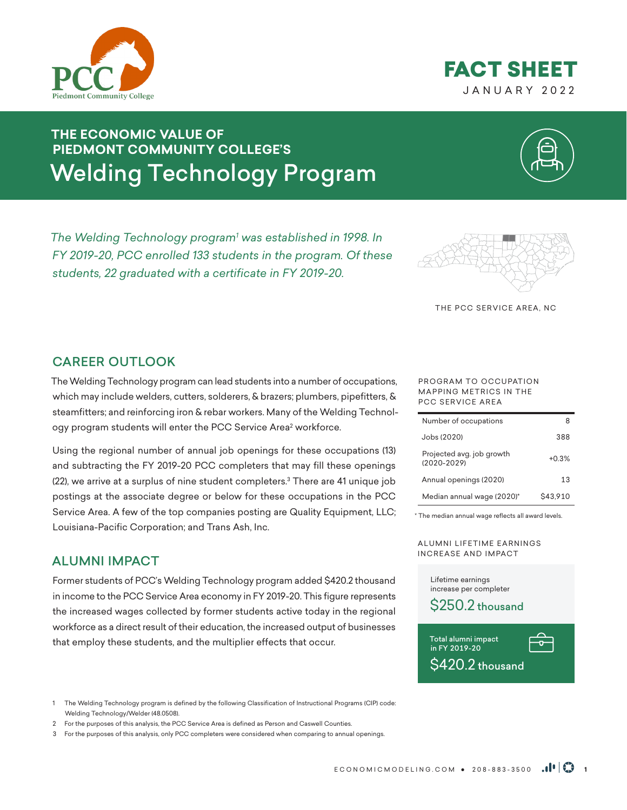



# **THE ECONOMIC VALUE OF PIEDMONT COMMUNITY COLLEGE'S** Welding Technology Program

*The Welding Technology program1 was established in 1998. In FY 2019-20, PCC enrolled 133 students in the program. Of these students, 22 graduated with a certificate in FY 2019-20.* 



THE PCC SERVICE AREA, NC

# CAREER OUTLOOK

The Welding Technology program can lead students into a number of occupations, which may include welders, cutters, solderers, & brazers; plumbers, pipefitters, & steamfitters; and reinforcing iron & rebar workers. Many of the Welding Technology program students will enter the PCC Service Area<sup>2</sup> workforce.

Using the regional number of annual job openings for these occupations (13) and subtracting the FY 2019-20 PCC completers that may fill these openings (22), we arrive at a surplus of nine student completers.<sup>3</sup> There are 41 unique job postings at the associate degree or below for these occupations in the PCC Service Area. A few of the top companies posting are Quality Equipment, LLC; Louisiana-Pacific Corporation; and Trans Ash, Inc.

### ALUMNI IMPACT

Former students of PCC's Welding Technology program added \$420.2 thousand in income to the PCC Service Area economy in FY 2019-20. This figure represents the increased wages collected by former students active today in the regional workforce as a direct result of their education, the increased output of businesses that employ these students, and the multiplier effects that occur.

1 The Welding Technology program is defined by the following Classification of Instructional Programs (CIP) code: Welding Technology/Welder (48.0508).

- 2 For the purposes of this analysis, the PCC Service Area is defined as Person and Caswell Counties.
- 3 For the purposes of this analysis, only PCC completers were considered when comparing to annual openings.

#### PROGRAM TO OCCUPATION MAPPING METRICS IN THE PCC SERVICE AREA

| Number of occupations                        |          |
|----------------------------------------------|----------|
| Jobs (2020)                                  | 388      |
| Projected avg. job growth<br>$(2020 - 2029)$ | $+0.3%$  |
| Annual openings (2020)                       | 13       |
| Median annual wage (2020)*                   | \$43.910 |

\* The median annual wage reflects all award levels.

A LUMNI LIFETIME EARNINGS INCREASE AND IMPACT

> Lifetime earnings increase per completer